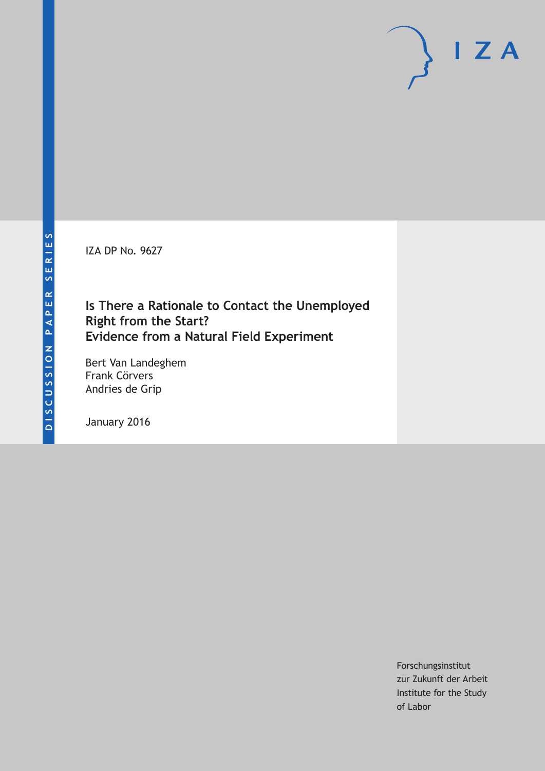IZA DP No. 9627

# **Is There a Rationale to Contact the Unemployed Right from the Start? Evidence from a Natural Field Experiment**

Bert Van Landeghem Frank Cörvers Andries de Grip

January 2016

Forschungsinstitut zur Zukunft der Arbeit Institute for the Study of Labor

 $I Z A$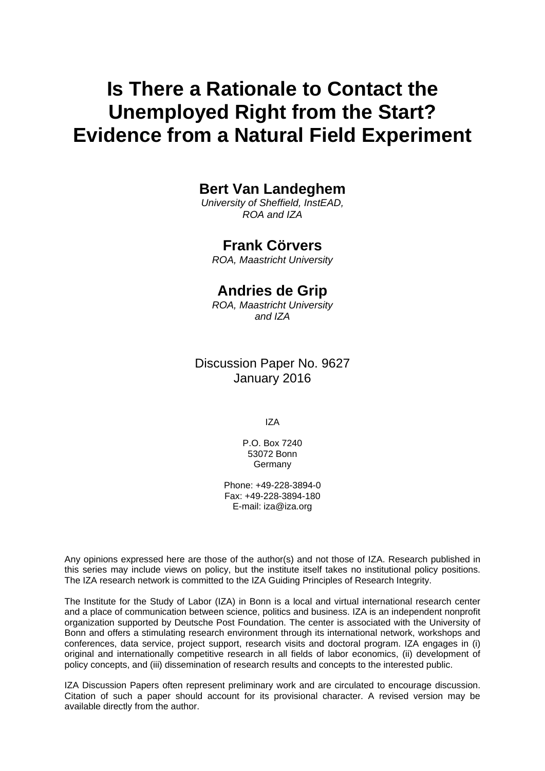# **Is There a Rationale to Contact the Unemployed Right from the Start? Evidence from a Natural Field Experiment**

### **Bert Van Landeghem**

*University of Sheffield, InstEAD, ROA and IZA* 

### **Frank Cörvers**

*ROA, Maastricht University* 

### **Andries de Grip**

*ROA, Maastricht University and IZA*

Discussion Paper No. 9627 January 2016

IZA

P.O. Box 7240 53072 Bonn Germany

Phone: +49-228-3894-0 Fax: +49-228-3894-180 E-mail: iza@iza.org

Any opinions expressed here are those of the author(s) and not those of IZA. Research published in this series may include views on policy, but the institute itself takes no institutional policy positions. The IZA research network is committed to the IZA Guiding Principles of Research Integrity.

The Institute for the Study of Labor (IZA) in Bonn is a local and virtual international research center and a place of communication between science, politics and business. IZA is an independent nonprofit organization supported by Deutsche Post Foundation. The center is associated with the University of Bonn and offers a stimulating research environment through its international network, workshops and conferences, data service, project support, research visits and doctoral program. IZA engages in (i) original and internationally competitive research in all fields of labor economics, (ii) development of policy concepts, and (iii) dissemination of research results and concepts to the interested public.

IZA Discussion Papers often represent preliminary work and are circulated to encourage discussion. Citation of such a paper should account for its provisional character. A revised version may be available directly from the author.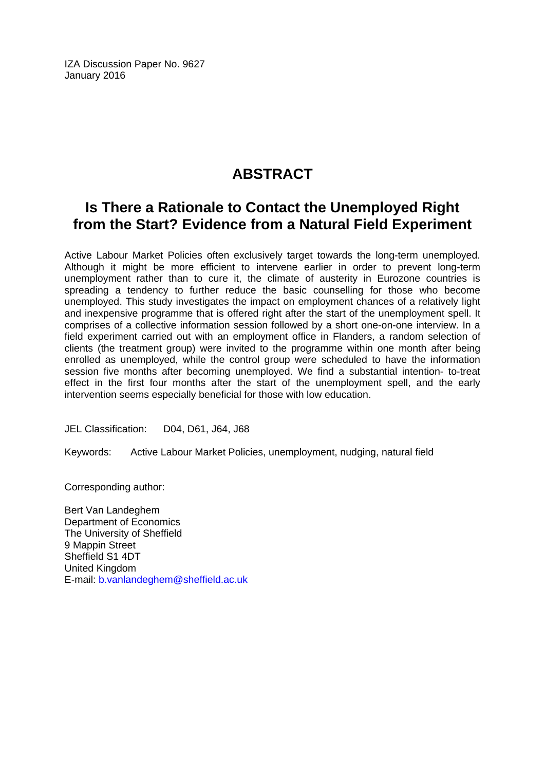IZA Discussion Paper No. 9627 January 2016

# **ABSTRACT**

# **Is There a Rationale to Contact the Unemployed Right from the Start? Evidence from a Natural Field Experiment**

Active Labour Market Policies often exclusively target towards the long-term unemployed. Although it might be more efficient to intervene earlier in order to prevent long-term unemployment rather than to cure it, the climate of austerity in Eurozone countries is spreading a tendency to further reduce the basic counselling for those who become unemployed. This study investigates the impact on employment chances of a relatively light and inexpensive programme that is offered right after the start of the unemployment spell. It comprises of a collective information session followed by a short one-on-one interview. In a field experiment carried out with an employment office in Flanders, a random selection of clients (the treatment group) were invited to the programme within one month after being enrolled as unemployed, while the control group were scheduled to have the information session five months after becoming unemployed. We find a substantial intention- to-treat effect in the first four months after the start of the unemployment spell, and the early intervention seems especially beneficial for those with low education.

JEL Classification: D04, D61, J64, J68

Keywords: Active Labour Market Policies, unemployment, nudging, natural field

Corresponding author:

Bert Van Landeghem Department of Economics The University of Sheffield 9 Mappin Street Sheffield S1 4DT United Kingdom E-mail: b.vanlandeghem@sheffield.ac.uk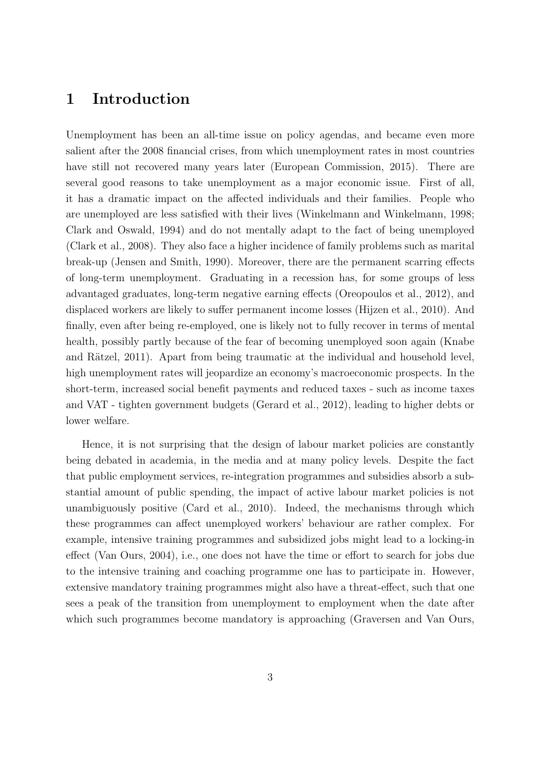## **1 Introduction**

Unemployment has been an all-time issue on policy agendas, and became even more salient after the 2008 financial crises, from which unemployment rates in most countries have still not recovered many years later (European Commission, 2015). There are several good reasons to take unemployment as a major economic issue. First of all, it has a dramatic impact on the affected individuals and their families. People who are unemployed are less satisfied with their lives (Winkelmann and Winkelmann, 1998; Clark and Oswald, 1994) and do not mentally adapt to the fact of being unemployed (Clark et al., 2008). They also face a higher incidence of family problems such as marital break-up (Jensen and Smith, 1990). Moreover, there are the permanent scarring effects of long-term unemployment. Graduating in a recession has, for some groups of less advantaged graduates, long-term negative earning effects (Oreopoulos et al., 2012), and displaced workers are likely to suffer permanent income losses (Hijzen et al., 2010). And finally, even after being re-employed, one is likely not to fully recover in terms of mental health, possibly partly because of the fear of becoming unemployed soon again (Knabe and Rätzel, 2011). Apart from being traumatic at the individual and household level, high unemployment rates will jeopardize an economy's macroeconomic prospects. In the short-term, increased social benefit payments and reduced taxes - such as income taxes and VAT - tighten government budgets (Gerard et al., 2012), leading to higher debts or lower welfare.

Hence, it is not surprising that the design of labour market policies are constantly being debated in academia, in the media and at many policy levels. Despite the fact that public employment services, re-integration programmes and subsidies absorb a substantial amount of public spending, the impact of active labour market policies is not unambiguously positive (Card et al., 2010). Indeed, the mechanisms through which these programmes can affect unemployed workers' behaviour are rather complex. For example, intensive training programmes and subsidized jobs might lead to a locking-in effect (Van Ours, 2004), i.e., one does not have the time or effort to search for jobs due to the intensive training and coaching programme one has to participate in. However, extensive mandatory training programmes might also have a threat-effect, such that one sees a peak of the transition from unemployment to employment when the date after which such programmes become mandatory is approaching (Graversen and Van Ours,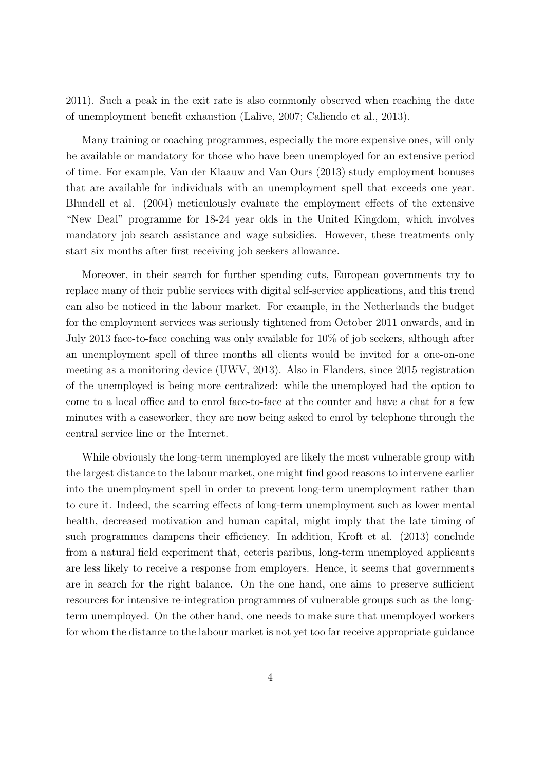2011). Such a peak in the exit rate is also commonly observed when reaching the date of unemployment benefit exhaustion (Lalive, 2007; Caliendo et al., 2013).

Many training or coaching programmes, especially the more expensive ones, will only be available or mandatory for those who have been unemployed for an extensive period of time. For example, Van der Klaauw and Van Ours (2013) study employment bonuses that are available for individuals with an unemployment spell that exceeds one year. Blundell et al. (2004) meticulously evaluate the employment effects of the extensive "New Deal" programme for 18-24 year olds in the United Kingdom, which involves mandatory job search assistance and wage subsidies. However, these treatments only start six months after first receiving job seekers allowance.

Moreover, in their search for further spending cuts, European governments try to replace many of their public services with digital self-service applications, and this trend can also be noticed in the labour market. For example, in the Netherlands the budget for the employment services was seriously tightened from October 2011 onwards, and in July 2013 face-to-face coaching was only available for 10% of job seekers, although after an unemployment spell of three months all clients would be invited for a one-on-one meeting as a monitoring device (UWV, 2013). Also in Flanders, since 2015 registration of the unemployed is being more centralized: while the unemployed had the option to come to a local office and to enrol face-to-face at the counter and have a chat for a few minutes with a caseworker, they are now being asked to enrol by telephone through the central service line or the Internet.

While obviously the long-term unemployed are likely the most vulnerable group with the largest distance to the labour market, one might find good reasons to intervene earlier into the unemployment spell in order to prevent long-term unemployment rather than to cure it. Indeed, the scarring effects of long-term unemployment such as lower mental health, decreased motivation and human capital, might imply that the late timing of such programmes dampens their efficiency. In addition, Kroft et al. (2013) conclude from a natural field experiment that, ceteris paribus, long-term unemployed applicants are less likely to receive a response from employers. Hence, it seems that governments are in search for the right balance. On the one hand, one aims to preserve sufficient resources for intensive re-integration programmes of vulnerable groups such as the longterm unemployed. On the other hand, one needs to make sure that unemployed workers for whom the distance to the labour market is not yet too far receive appropriate guidance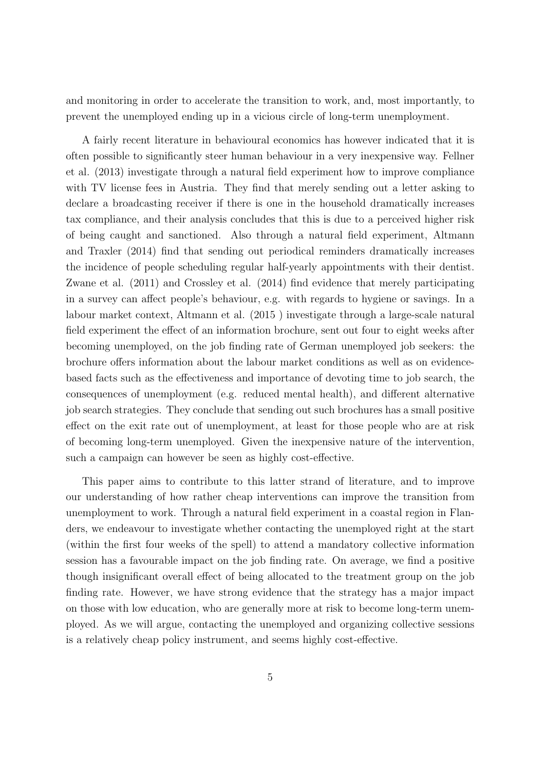and monitoring in order to accelerate the transition to work, and, most importantly, to prevent the unemployed ending up in a vicious circle of long-term unemployment.

A fairly recent literature in behavioural economics has however indicated that it is often possible to significantly steer human behaviour in a very inexpensive way. Fellner et al. (2013) investigate through a natural field experiment how to improve compliance with TV license fees in Austria. They find that merely sending out a letter asking to declare a broadcasting receiver if there is one in the household dramatically increases tax compliance, and their analysis concludes that this is due to a perceived higher risk of being caught and sanctioned. Also through a natural field experiment, Altmann and Traxler (2014) find that sending out periodical reminders dramatically increases the incidence of people scheduling regular half-yearly appointments with their dentist. Zwane et al. (2011) and Crossley et al. (2014) find evidence that merely participating in a survey can affect people's behaviour, e.g. with regards to hygiene or savings. In a labour market context, Altmann et al. (2015 ) investigate through a large-scale natural field experiment the effect of an information brochure, sent out four to eight weeks after becoming unemployed, on the job finding rate of German unemployed job seekers: the brochure offers information about the labour market conditions as well as on evidencebased facts such as the effectiveness and importance of devoting time to job search, the consequences of unemployment (e.g. reduced mental health), and different alternative job search strategies. They conclude that sending out such brochures has a small positive effect on the exit rate out of unemployment, at least for those people who are at risk of becoming long-term unemployed. Given the inexpensive nature of the intervention, such a campaign can however be seen as highly cost-effective.

This paper aims to contribute to this latter strand of literature, and to improve our understanding of how rather cheap interventions can improve the transition from unemployment to work. Through a natural field experiment in a coastal region in Flanders, we endeavour to investigate whether contacting the unemployed right at the start (within the first four weeks of the spell) to attend a mandatory collective information session has a favourable impact on the job finding rate. On average, we find a positive though insignificant overall effect of being allocated to the treatment group on the job finding rate. However, we have strong evidence that the strategy has a major impact on those with low education, who are generally more at risk to become long-term unemployed. As we will argue, contacting the unemployed and organizing collective sessions is a relatively cheap policy instrument, and seems highly cost-effective.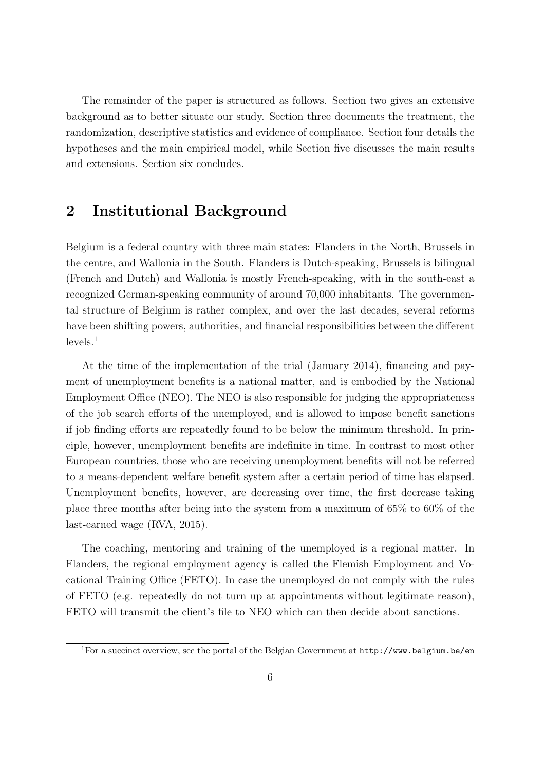The remainder of the paper is structured as follows. Section two gives an extensive background as to better situate our study. Section three documents the treatment, the randomization, descriptive statistics and evidence of compliance. Section four details the hypotheses and the main empirical model, while Section five discusses the main results and extensions. Section six concludes.

# **2 Institutional Background**

Belgium is a federal country with three main states: Flanders in the North, Brussels in the centre, and Wallonia in the South. Flanders is Dutch-speaking, Brussels is bilingual (French and Dutch) and Wallonia is mostly French-speaking, with in the south-east a recognized German-speaking community of around 70,000 inhabitants. The governmental structure of Belgium is rather complex, and over the last decades, several reforms have been shifting powers, authorities, and financial responsibilities between the different  $levels.<sup>1</sup>$ 

At the time of the implementation of the trial (January 2014), financing and payment of unemployment benefits is a national matter, and is embodied by the National Employment Office (NEO). The NEO is also responsible for judging the appropriateness of the job search efforts of the unemployed, and is allowed to impose benefit sanctions if job finding efforts are repeatedly found to be below the minimum threshold. In principle, however, unemployment benefits are indefinite in time. In contrast to most other European countries, those who are receiving unemployment benefits will not be referred to a means-dependent welfare benefit system after a certain period of time has elapsed. Unemployment benefits, however, are decreasing over time, the first decrease taking place three months after being into the system from a maximum of 65% to 60% of the last-earned wage (RVA, 2015).

The coaching, mentoring and training of the unemployed is a regional matter. In Flanders, the regional employment agency is called the Flemish Employment and Vocational Training Office (FETO). In case the unemployed do not comply with the rules of FETO (e.g. repeatedly do not turn up at appointments without legitimate reason), FETO will transmit the client's file to NEO which can then decide about sanctions.

<sup>&</sup>lt;sup>1</sup>For a succinct overview, see the portal of the Belgian Government at  $http://www.belgium.be/en$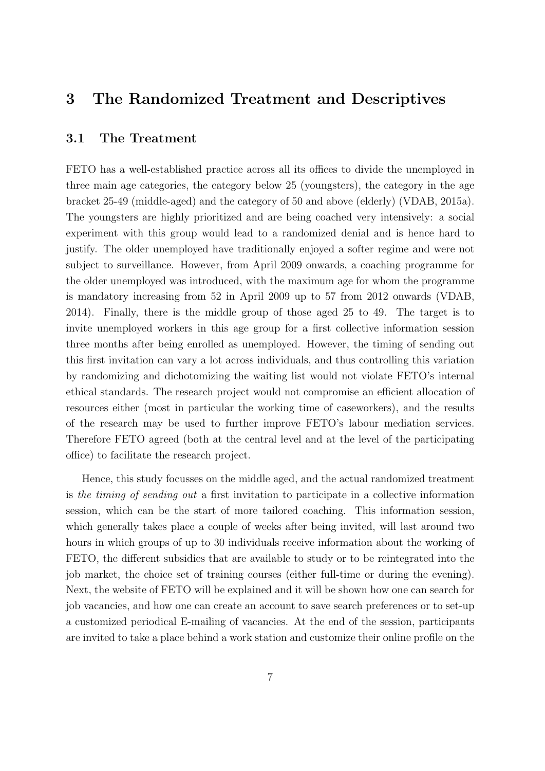### **3 The Randomized Treatment and Descriptives**

### **3.1 The Treatment**

FETO has a well-established practice across all its offices to divide the unemployed in three main age categories, the category below 25 (youngsters), the category in the age bracket 25-49 (middle-aged) and the category of 50 and above (elderly) (VDAB, 2015a). The youngsters are highly prioritized and are being coached very intensively: a social experiment with this group would lead to a randomized denial and is hence hard to justify. The older unemployed have traditionally enjoyed a softer regime and were not subject to surveillance. However, from April 2009 onwards, a coaching programme for the older unemployed was introduced, with the maximum age for whom the programme is mandatory increasing from 52 in April 2009 up to 57 from 2012 onwards (VDAB, 2014). Finally, there is the middle group of those aged 25 to 49. The target is to invite unemployed workers in this age group for a first collective information session three months after being enrolled as unemployed. However, the timing of sending out this first invitation can vary a lot across individuals, and thus controlling this variation by randomizing and dichotomizing the waiting list would not violate FETO's internal ethical standards. The research project would not compromise an efficient allocation of resources either (most in particular the working time of caseworkers), and the results of the research may be used to further improve FETO's labour mediation services. Therefore FETO agreed (both at the central level and at the level of the participating office) to facilitate the research project.

Hence, this study focusses on the middle aged, and the actual randomized treatment is *the timing of sending out* a first invitation to participate in a collective information session, which can be the start of more tailored coaching. This information session, which generally takes place a couple of weeks after being invited, will last around two hours in which groups of up to 30 individuals receive information about the working of FETO, the different subsidies that are available to study or to be reintegrated into the job market, the choice set of training courses (either full-time or during the evening). Next, the website of FETO will be explained and it will be shown how one can search for job vacancies, and how one can create an account to save search preferences or to set-up a customized periodical E-mailing of vacancies. At the end of the session, participants are invited to take a place behind a work station and customize their online profile on the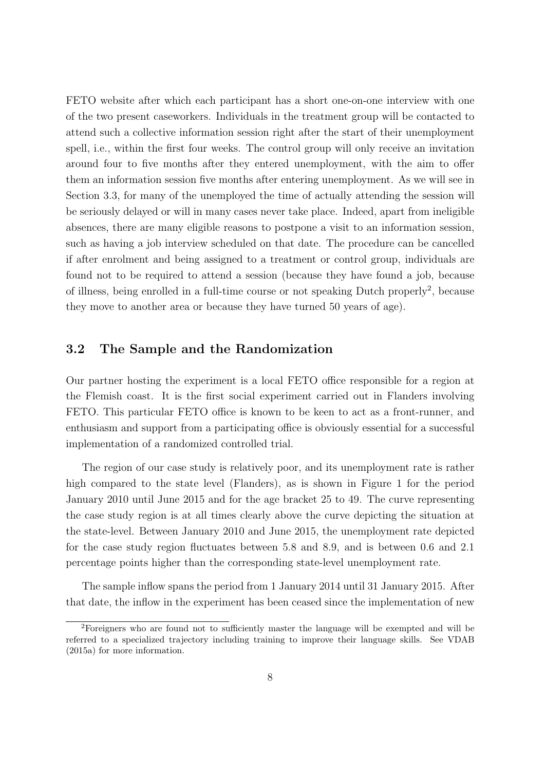FETO website after which each participant has a short one-on-one interview with one of the two present caseworkers. Individuals in the treatment group will be contacted to attend such a collective information session right after the start of their unemployment spell, i.e., within the first four weeks. The control group will only receive an invitation around four to five months after they entered unemployment, with the aim to offer them an information session five months after entering unemployment. As we will see in Section 3.3, for many of the unemployed the time of actually attending the session will be seriously delayed or will in many cases never take place. Indeed, apart from ineligible absences, there are many eligible reasons to postpone a visit to an information session, such as having a job interview scheduled on that date. The procedure can be cancelled if after enrolment and being assigned to a treatment or control group, individuals are found not to be required to attend a session (because they have found a job, because of illness, being enrolled in a full-time course or not speaking Dutch properly<sup>2</sup>, because they move to another area or because they have turned 50 years of age).

### **3.2 The Sample and the Randomization**

Our partner hosting the experiment is a local FETO office responsible for a region at the Flemish coast. It is the first social experiment carried out in Flanders involving FETO. This particular FETO office is known to be keen to act as a front-runner, and enthusiasm and support from a participating office is obviously essential for a successful implementation of a randomized controlled trial.

The region of our case study is relatively poor, and its unemployment rate is rather high compared to the state level (Flanders), as is shown in Figure 1 for the period January 2010 until June 2015 and for the age bracket 25 to 49. The curve representing the case study region is at all times clearly above the curve depicting the situation at the state-level. Between January 2010 and June 2015, the unemployment rate depicted for the case study region fluctuates between 5.8 and 8.9, and is between 0.6 and 2.1 percentage points higher than the corresponding state-level unemployment rate.

The sample inflow spans the period from 1 January 2014 until 31 January 2015. After that date, the inflow in the experiment has been ceased since the implementation of new

<sup>2</sup>Foreigners who are found not to sufficiently master the language will be exempted and will be referred to a specialized trajectory including training to improve their language skills. See VDAB (2015a) for more information.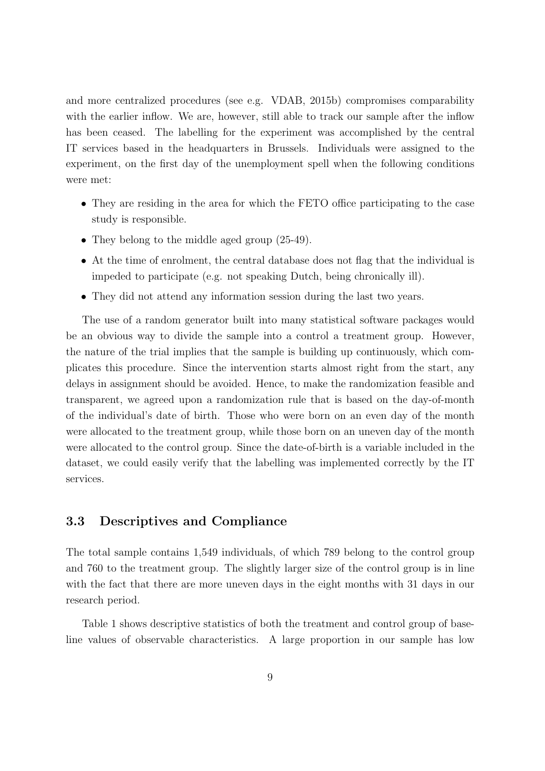and more centralized procedures (see e.g. VDAB, 2015b) compromises comparability with the earlier inflow. We are, however, still able to track our sample after the inflow has been ceased. The labelling for the experiment was accomplished by the central IT services based in the headquarters in Brussels. Individuals were assigned to the experiment, on the first day of the unemployment spell when the following conditions were met:

- They are residing in the area for which the FETO office participating to the case study is responsible.
- They belong to the middle aged group  $(25-49)$ .
- At the time of enrolment, the central database does not flag that the individual is impeded to participate (e.g. not speaking Dutch, being chronically ill).
- They did not attend any information session during the last two years.

The use of a random generator built into many statistical software packages would be an obvious way to divide the sample into a control a treatment group. However, the nature of the trial implies that the sample is building up continuously, which complicates this procedure. Since the intervention starts almost right from the start, any delays in assignment should be avoided. Hence, to make the randomization feasible and transparent, we agreed upon a randomization rule that is based on the day-of-month of the individual's date of birth. Those who were born on an even day of the month were allocated to the treatment group, while those born on an uneven day of the month were allocated to the control group. Since the date-of-birth is a variable included in the dataset, we could easily verify that the labelling was implemented correctly by the IT services.

#### **3.3 Descriptives and Compliance**

The total sample contains 1,549 individuals, of which 789 belong to the control group and 760 to the treatment group. The slightly larger size of the control group is in line with the fact that there are more uneven days in the eight months with 31 days in our research period.

Table 1 shows descriptive statistics of both the treatment and control group of baseline values of observable characteristics. A large proportion in our sample has low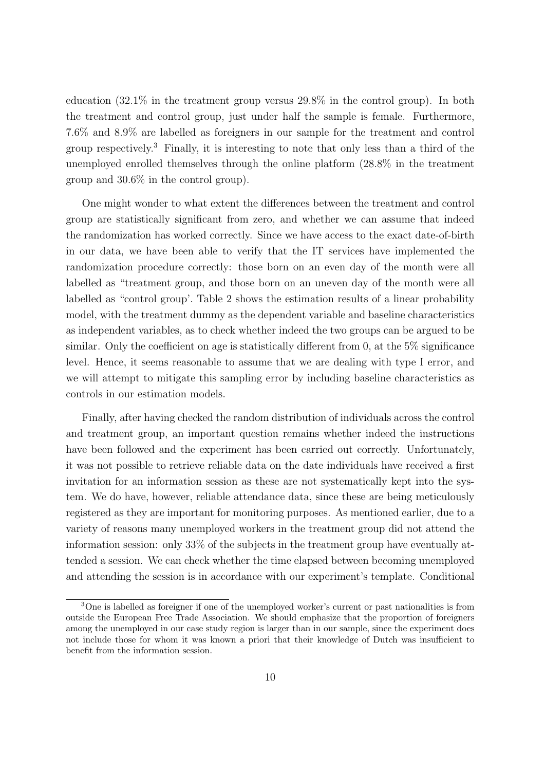education (32.1% in the treatment group versus 29.8% in the control group). In both the treatment and control group, just under half the sample is female. Furthermore, 7.6% and 8.9% are labelled as foreigners in our sample for the treatment and control group respectively.<sup>3</sup> Finally, it is interesting to note that only less than a third of the unemployed enrolled themselves through the online platform (28.8% in the treatment group and 30.6% in the control group).

One might wonder to what extent the differences between the treatment and control group are statistically significant from zero, and whether we can assume that indeed the randomization has worked correctly. Since we have access to the exact date-of-birth in our data, we have been able to verify that the IT services have implemented the randomization procedure correctly: those born on an even day of the month were all labelled as "treatment group, and those born on an uneven day of the month were all labelled as "control group'. Table 2 shows the estimation results of a linear probability model, with the treatment dummy as the dependent variable and baseline characteristics as independent variables, as to check whether indeed the two groups can be argued to be similar. Only the coefficient on age is statistically different from 0, at the  $5\%$  significance level. Hence, it seems reasonable to assume that we are dealing with type I error, and we will attempt to mitigate this sampling error by including baseline characteristics as controls in our estimation models.

Finally, after having checked the random distribution of individuals across the control and treatment group, an important question remains whether indeed the instructions have been followed and the experiment has been carried out correctly. Unfortunately, it was not possible to retrieve reliable data on the date individuals have received a first invitation for an information session as these are not systematically kept into the system. We do have, however, reliable attendance data, since these are being meticulously registered as they are important for monitoring purposes. As mentioned earlier, due to a variety of reasons many unemployed workers in the treatment group did not attend the information session: only 33% of the subjects in the treatment group have eventually attended a session. We can check whether the time elapsed between becoming unemployed and attending the session is in accordance with our experiment's template. Conditional

<sup>&</sup>lt;sup>3</sup>One is labelled as foreigner if one of the unemployed worker's current or past nationalities is from outside the European Free Trade Association. We should emphasize that the proportion of foreigners among the unemployed in our case study region is larger than in our sample, since the experiment does not include those for whom it was known a priori that their knowledge of Dutch was insufficient to benefit from the information session.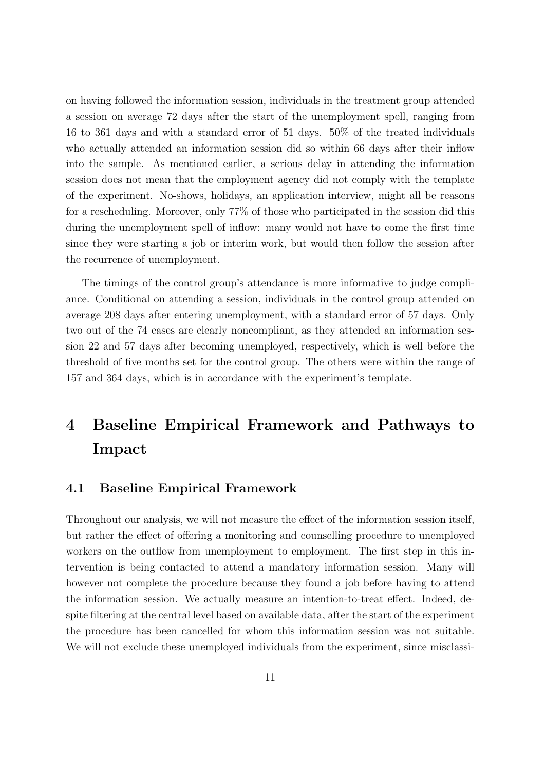on having followed the information session, individuals in the treatment group attended a session on average 72 days after the start of the unemployment spell, ranging from 16 to 361 days and with a standard error of 51 days. 50% of the treated individuals who actually attended an information session did so within 66 days after their inflow into the sample. As mentioned earlier, a serious delay in attending the information session does not mean that the employment agency did not comply with the template of the experiment. No-shows, holidays, an application interview, might all be reasons for a rescheduling. Moreover, only 77% of those who participated in the session did this during the unemployment spell of inflow: many would not have to come the first time since they were starting a job or interim work, but would then follow the session after the recurrence of unemployment.

The timings of the control group's attendance is more informative to judge compliance. Conditional on attending a session, individuals in the control group attended on average 208 days after entering unemployment, with a standard error of 57 days. Only two out of the 74 cases are clearly noncompliant, as they attended an information session 22 and 57 days after becoming unemployed, respectively, which is well before the threshold of five months set for the control group. The others were within the range of 157 and 364 days, which is in accordance with the experiment's template.

# **4 Baseline Empirical Framework and Pathways to Impact**

#### **4.1 Baseline Empirical Framework**

Throughout our analysis, we will not measure the effect of the information session itself, but rather the effect of offering a monitoring and counselling procedure to unemployed workers on the outflow from unemployment to employment. The first step in this intervention is being contacted to attend a mandatory information session. Many will however not complete the procedure because they found a job before having to attend the information session. We actually measure an intention-to-treat effect. Indeed, despite filtering at the central level based on available data, after the start of the experiment the procedure has been cancelled for whom this information session was not suitable. We will not exclude these unemployed individuals from the experiment, since misclassi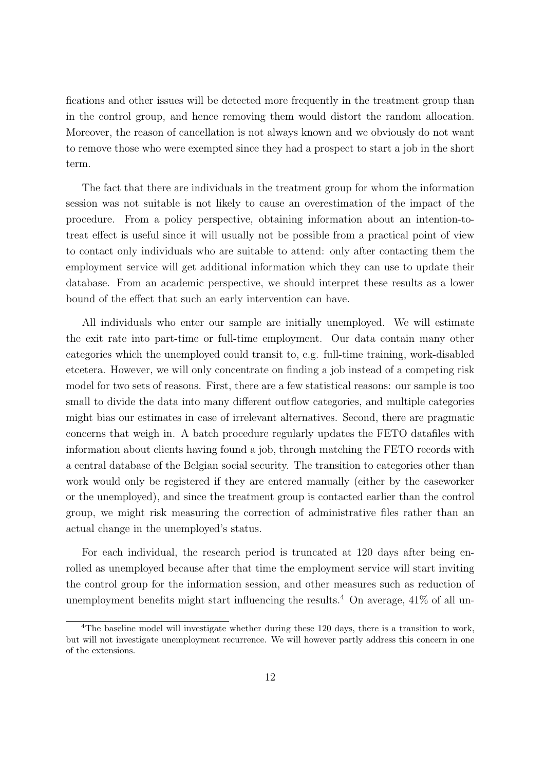fications and other issues will be detected more frequently in the treatment group than in the control group, and hence removing them would distort the random allocation. Moreover, the reason of cancellation is not always known and we obviously do not want to remove those who were exempted since they had a prospect to start a job in the short term.

The fact that there are individuals in the treatment group for whom the information session was not suitable is not likely to cause an overestimation of the impact of the procedure. From a policy perspective, obtaining information about an intention-totreat effect is useful since it will usually not be possible from a practical point of view to contact only individuals who are suitable to attend: only after contacting them the employment service will get additional information which they can use to update their database. From an academic perspective, we should interpret these results as a lower bound of the effect that such an early intervention can have.

All individuals who enter our sample are initially unemployed. We will estimate the exit rate into part-time or full-time employment. Our data contain many other categories which the unemployed could transit to, e.g. full-time training, work-disabled etcetera. However, we will only concentrate on finding a job instead of a competing risk model for two sets of reasons. First, there are a few statistical reasons: our sample is too small to divide the data into many different outflow categories, and multiple categories might bias our estimates in case of irrelevant alternatives. Second, there are pragmatic concerns that weigh in. A batch procedure regularly updates the FETO datafiles with information about clients having found a job, through matching the FETO records with a central database of the Belgian social security. The transition to categories other than work would only be registered if they are entered manually (either by the caseworker or the unemployed), and since the treatment group is contacted earlier than the control group, we might risk measuring the correction of administrative files rather than an actual change in the unemployed's status.

For each individual, the research period is truncated at 120 days after being enrolled as unemployed because after that time the employment service will start inviting the control group for the information session, and other measures such as reduction of unemployment benefits might start influencing the results.<sup>4</sup> On average,  $41\%$  of all un-

<sup>&</sup>lt;sup>4</sup>The baseline model will investigate whether during these 120 days, there is a transition to work, but will not investigate unemployment recurrence. We will however partly address this concern in one of the extensions.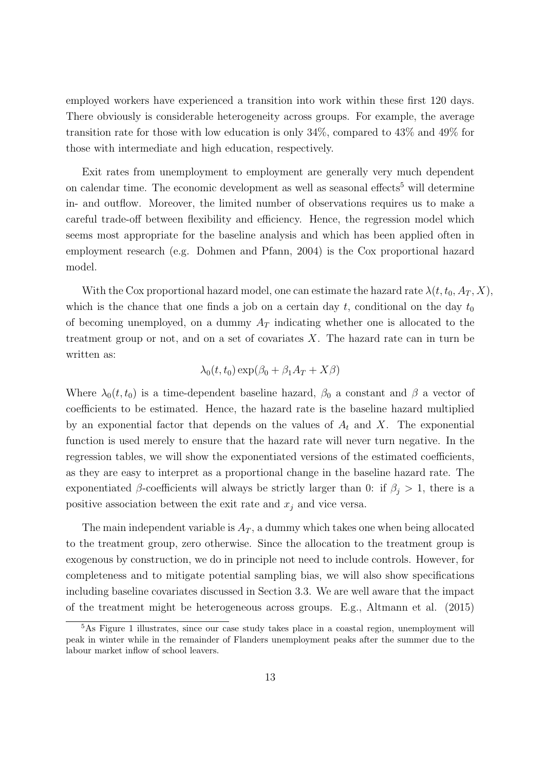employed workers have experienced a transition into work within these first 120 days. There obviously is considerable heterogeneity across groups. For example, the average transition rate for those with low education is only 34%, compared to 43% and 49% for those with intermediate and high education, respectively.

Exit rates from unemployment to employment are generally very much dependent on calendar time. The economic development as well as seasonal effects<sup>5</sup> will determine in- and outflow. Moreover, the limited number of observations requires us to make a careful trade-off between flexibility and efficiency. Hence, the regression model which seems most appropriate for the baseline analysis and which has been applied often in employment research (e.g. Dohmen and Pfann, 2004) is the Cox proportional hazard model.

With the Cox proportional hazard model, one can estimate the hazard rate  $\lambda(t, t_0, A_T, X)$ , which is the chance that one finds a job on a certain day  $t$ , conditional on the day  $t_0$ of becoming unemployed, on a dummy *A<sup>T</sup>* indicating whether one is allocated to the treatment group or not, and on a set of covariates *X*. The hazard rate can in turn be written as:

$$
\lambda_0(t, t_0) \exp(\beta_0 + \beta_1 A_T + X\beta)
$$

Where  $\lambda_0(t, t_0)$  is a time-dependent baseline hazard,  $\beta_0$  a constant and  $\beta$  a vector of coefficients to be estimated. Hence, the hazard rate is the baseline hazard multiplied by an exponential factor that depends on the values of  $A_t$  and  $X$ . The exponential function is used merely to ensure that the hazard rate will never turn negative. In the regression tables, we will show the exponentiated versions of the estimated coefficients, as they are easy to interpret as a proportional change in the baseline hazard rate. The exponentiated *β*-coefficients will always be strictly larger than 0: if  $\beta_j > 1$ , there is a positive association between the exit rate and  $x_j$  and vice versa.

The main independent variable is  $A_T$ , a dummy which takes one when being allocated to the treatment group, zero otherwise. Since the allocation to the treatment group is exogenous by construction, we do in principle not need to include controls. However, for completeness and to mitigate potential sampling bias, we will also show specifications including baseline covariates discussed in Section 3.3. We are well aware that the impact of the treatment might be heterogeneous across groups. E.g., Altmann et al. (2015)

<sup>&</sup>lt;sup>5</sup>As Figure 1 illustrates, since our case study takes place in a coastal region, unemployment will peak in winter while in the remainder of Flanders unemployment peaks after the summer due to the labour market inflow of school leavers.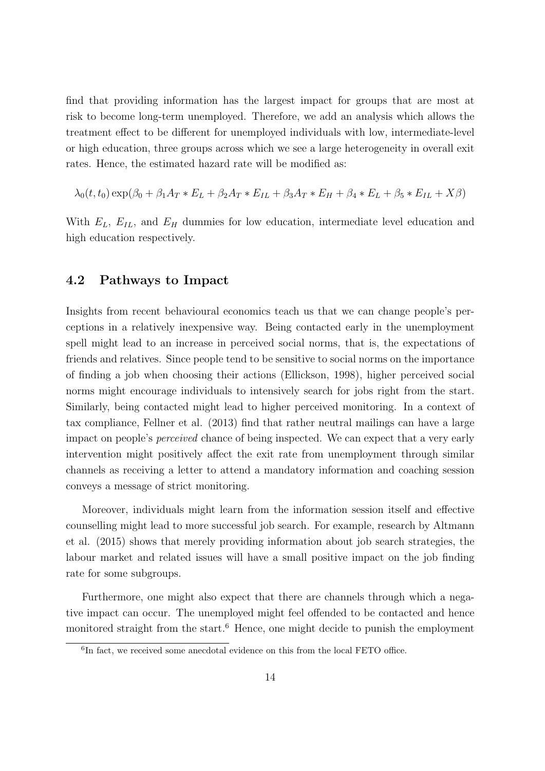find that providing information has the largest impact for groups that are most at risk to become long-term unemployed. Therefore, we add an analysis which allows the treatment effect to be different for unemployed individuals with low, intermediate-level or high education, three groups across which we see a large heterogeneity in overall exit rates. Hence, the estimated hazard rate will be modified as:

$$
\lambda_0(t, t_0) \exp(\beta_0 + \beta_1 A_T * E_L + \beta_2 A_T * E_{IL} + \beta_3 A_T * E_H + \beta_4 * E_L + \beta_5 * E_{IL} + X\beta)
$$

With *EL*, *EIL*, and *E<sup>H</sup>* dummies for low education, intermediate level education and high education respectively.

#### **4.2 Pathways to Impact**

Insights from recent behavioural economics teach us that we can change people's perceptions in a relatively inexpensive way. Being contacted early in the unemployment spell might lead to an increase in perceived social norms, that is, the expectations of friends and relatives. Since people tend to be sensitive to social norms on the importance of finding a job when choosing their actions (Ellickson, 1998), higher perceived social norms might encourage individuals to intensively search for jobs right from the start. Similarly, being contacted might lead to higher perceived monitoring. In a context of tax compliance, Fellner et al. (2013) find that rather neutral mailings can have a large impact on people's *perceived* chance of being inspected. We can expect that a very early intervention might positively affect the exit rate from unemployment through similar channels as receiving a letter to attend a mandatory information and coaching session conveys a message of strict monitoring.

Moreover, individuals might learn from the information session itself and effective counselling might lead to more successful job search. For example, research by Altmann et al. (2015) shows that merely providing information about job search strategies, the labour market and related issues will have a small positive impact on the job finding rate for some subgroups.

Furthermore, one might also expect that there are channels through which a negative impact can occur. The unemployed might feel offended to be contacted and hence monitored straight from the start.<sup>6</sup> Hence, one might decide to punish the employment

<sup>&</sup>lt;sup>6</sup>In fact, we received some anecdotal evidence on this from the local FETO office.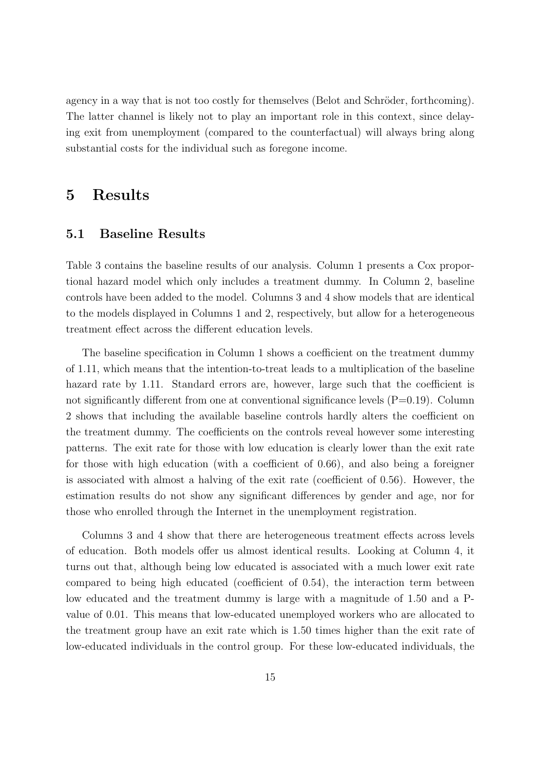agency in a way that is not too costly for themselves (Belot and Schröder, forthcoming). The latter channel is likely not to play an important role in this context, since delaying exit from unemployment (compared to the counterfactual) will always bring along substantial costs for the individual such as foregone income.

### **5 Results**

### **5.1 Baseline Results**

Table 3 contains the baseline results of our analysis. Column 1 presents a Cox proportional hazard model which only includes a treatment dummy. In Column 2, baseline controls have been added to the model. Columns 3 and 4 show models that are identical to the models displayed in Columns 1 and 2, respectively, but allow for a heterogeneous treatment effect across the different education levels.

The baseline specification in Column 1 shows a coefficient on the treatment dummy of 1.11, which means that the intention-to-treat leads to a multiplication of the baseline hazard rate by 1.11. Standard errors are, however, large such that the coefficient is not significantly different from one at conventional significance levels  $(P=0.19)$ . Column 2 shows that including the available baseline controls hardly alters the coefficient on the treatment dummy. The coefficients on the controls reveal however some interesting patterns. The exit rate for those with low education is clearly lower than the exit rate for those with high education (with a coefficient of 0.66), and also being a foreigner is associated with almost a halving of the exit rate (coefficient of 0.56). However, the estimation results do not show any significant differences by gender and age, nor for those who enrolled through the Internet in the unemployment registration.

Columns 3 and 4 show that there are heterogeneous treatment effects across levels of education. Both models offer us almost identical results. Looking at Column 4, it turns out that, although being low educated is associated with a much lower exit rate compared to being high educated (coefficient of 0.54), the interaction term between low educated and the treatment dummy is large with a magnitude of 1.50 and a Pvalue of 0.01. This means that low-educated unemployed workers who are allocated to the treatment group have an exit rate which is 1.50 times higher than the exit rate of low-educated individuals in the control group. For these low-educated individuals, the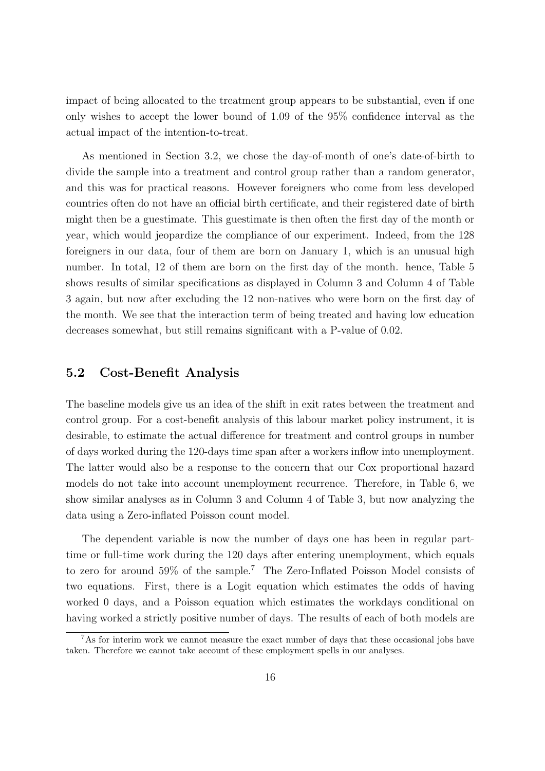impact of being allocated to the treatment group appears to be substantial, even if one only wishes to accept the lower bound of 1.09 of the 95% confidence interval as the actual impact of the intention-to-treat.

As mentioned in Section 3.2, we chose the day-of-month of one's date-of-birth to divide the sample into a treatment and control group rather than a random generator, and this was for practical reasons. However foreigners who come from less developed countries often do not have an official birth certificate, and their registered date of birth might then be a guestimate. This guestimate is then often the first day of the month or year, which would jeopardize the compliance of our experiment. Indeed, from the 128 foreigners in our data, four of them are born on January 1, which is an unusual high number. In total, 12 of them are born on the first day of the month. hence, Table 5 shows results of similar specifications as displayed in Column 3 and Column 4 of Table 3 again, but now after excluding the 12 non-natives who were born on the first day of the month. We see that the interaction term of being treated and having low education decreases somewhat, but still remains significant with a P-value of 0.02.

#### **5.2 Cost-Benefit Analysis**

The baseline models give us an idea of the shift in exit rates between the treatment and control group. For a cost-benefit analysis of this labour market policy instrument, it is desirable, to estimate the actual difference for treatment and control groups in number of days worked during the 120-days time span after a workers inflow into unemployment. The latter would also be a response to the concern that our Cox proportional hazard models do not take into account unemployment recurrence. Therefore, in Table 6, we show similar analyses as in Column 3 and Column 4 of Table 3, but now analyzing the data using a Zero-inflated Poisson count model.

The dependent variable is now the number of days one has been in regular parttime or full-time work during the 120 days after entering unemployment, which equals to zero for around 59% of the sample.<sup>7</sup> The Zero-Inflated Poisson Model consists of two equations. First, there is a Logit equation which estimates the odds of having worked 0 days, and a Poisson equation which estimates the workdays conditional on having worked a strictly positive number of days. The results of each of both models are

<sup>&</sup>lt;sup>7</sup>As for interim work we cannot measure the exact number of days that these occasional jobs have taken. Therefore we cannot take account of these employment spells in our analyses.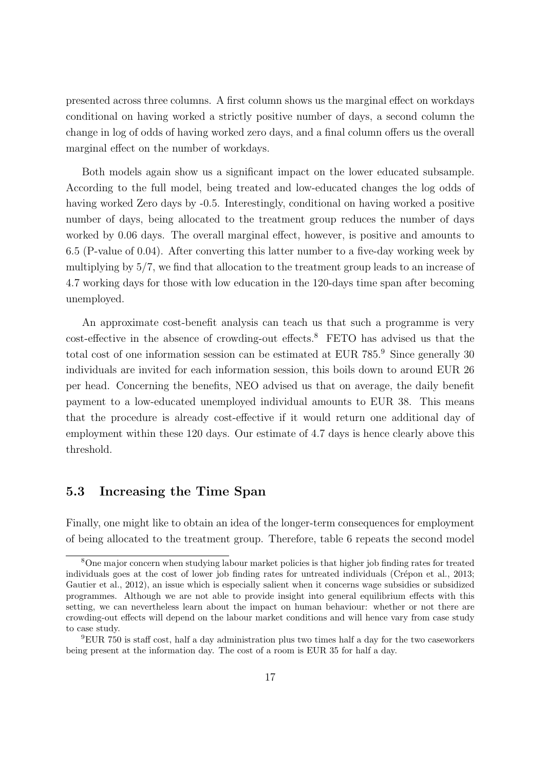presented across three columns. A first column shows us the marginal effect on workdays conditional on having worked a strictly positive number of days, a second column the change in log of odds of having worked zero days, and a final column offers us the overall marginal effect on the number of workdays.

Both models again show us a significant impact on the lower educated subsample. According to the full model, being treated and low-educated changes the log odds of having worked Zero days by -0.5. Interestingly, conditional on having worked a positive number of days, being allocated to the treatment group reduces the number of days worked by 0.06 days. The overall marginal effect, however, is positive and amounts to 6.5 (P-value of 0.04). After converting this latter number to a five-day working week by multiplying by 5/7, we find that allocation to the treatment group leads to an increase of 4.7 working days for those with low education in the 120-days time span after becoming unemployed.

An approximate cost-benefit analysis can teach us that such a programme is very cost-effective in the absence of crowding-out effects.<sup>8</sup> FETO has advised us that the total cost of one information session can be estimated at EUR 785.<sup>9</sup> Since generally 30 individuals are invited for each information session, this boils down to around EUR 26 per head. Concerning the benefits, NEO advised us that on average, the daily benefit payment to a low-educated unemployed individual amounts to EUR 38. This means that the procedure is already cost-effective if it would return one additional day of employment within these 120 days. Our estimate of 4.7 days is hence clearly above this threshold.

### **5.3 Increasing the Time Span**

Finally, one might like to obtain an idea of the longer-term consequences for employment of being allocated to the treatment group. Therefore, table 6 repeats the second model

<sup>&</sup>lt;sup>8</sup>One major concern when studying labour market policies is that higher job finding rates for treated individuals goes at the cost of lower job finding rates for untreated individuals (Crépon et al.,  $2013$ ; Gautier et al., 2012), an issue which is especially salient when it concerns wage subsidies or subsidized programmes. Although we are not able to provide insight into general equilibrium effects with this setting, we can nevertheless learn about the impact on human behaviour: whether or not there are crowding-out effects will depend on the labour market conditions and will hence vary from case study to case study.

<sup>9</sup>EUR 750 is staff cost, half a day administration plus two times half a day for the two caseworkers being present at the information day. The cost of a room is EUR 35 for half a day.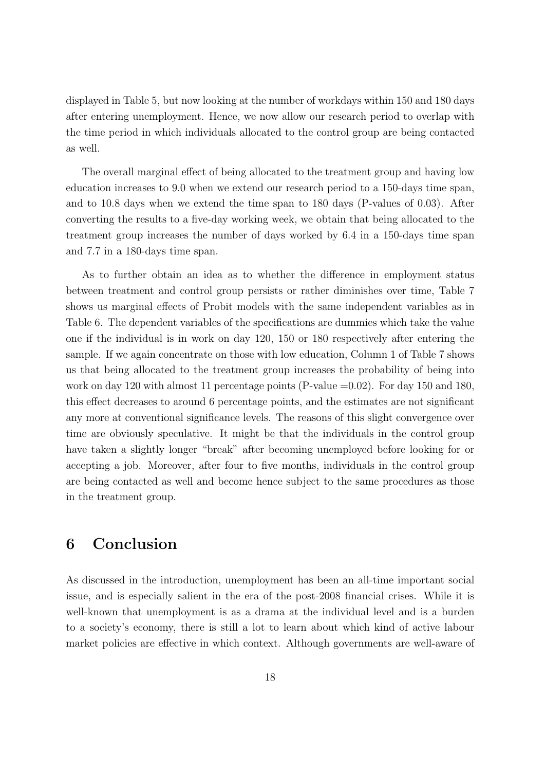displayed in Table 5, but now looking at the number of workdays within 150 and 180 days after entering unemployment. Hence, we now allow our research period to overlap with the time period in which individuals allocated to the control group are being contacted as well.

The overall marginal effect of being allocated to the treatment group and having low education increases to 9.0 when we extend our research period to a 150-days time span, and to 10.8 days when we extend the time span to 180 days (P-values of 0.03). After converting the results to a five-day working week, we obtain that being allocated to the treatment group increases the number of days worked by 6.4 in a 150-days time span and 7.7 in a 180-days time span.

As to further obtain an idea as to whether the difference in employment status between treatment and control group persists or rather diminishes over time, Table 7 shows us marginal effects of Probit models with the same independent variables as in Table 6. The dependent variables of the specifications are dummies which take the value one if the individual is in work on day 120, 150 or 180 respectively after entering the sample. If we again concentrate on those with low education, Column 1 of Table 7 shows us that being allocated to the treatment group increases the probability of being into work on day 120 with almost 11 percentage points  $(P-value = 0.02)$ . For day 150 and 180, this effect decreases to around 6 percentage points, and the estimates are not significant any more at conventional significance levels. The reasons of this slight convergence over time are obviously speculative. It might be that the individuals in the control group have taken a slightly longer "break" after becoming unemployed before looking for or accepting a job. Moreover, after four to five months, individuals in the control group are being contacted as well and become hence subject to the same procedures as those in the treatment group.

# **6 Conclusion**

As discussed in the introduction, unemployment has been an all-time important social issue, and is especially salient in the era of the post-2008 financial crises. While it is well-known that unemployment is as a drama at the individual level and is a burden to a society's economy, there is still a lot to learn about which kind of active labour market policies are effective in which context. Although governments are well-aware of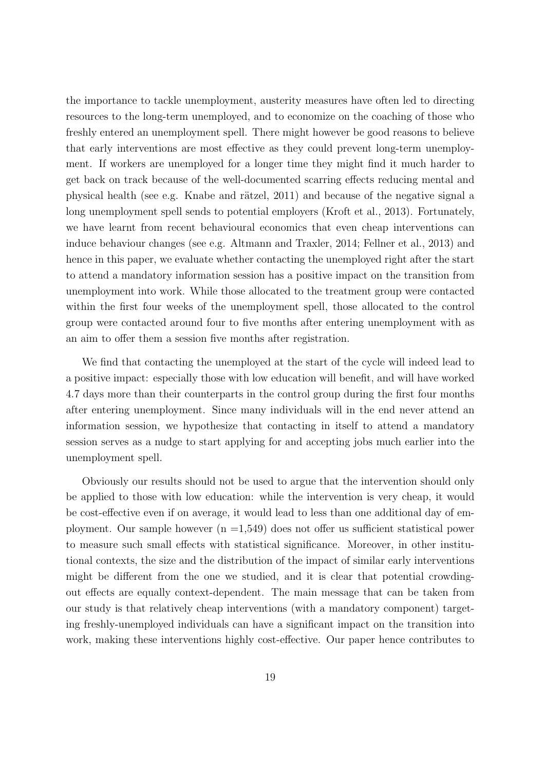the importance to tackle unemployment, austerity measures have often led to directing resources to the long-term unemployed, and to economize on the coaching of those who freshly entered an unemployment spell. There might however be good reasons to believe that early interventions are most effective as they could prevent long-term unemployment. If workers are unemployed for a longer time they might find it much harder to get back on track because of the well-documented scarring effects reducing mental and physical health (see e.g. Knabe and rätzel,  $2011$ ) and because of the negative signal a long unemployment spell sends to potential employers (Kroft et al., 2013). Fortunately, we have learnt from recent behavioural economics that even cheap interventions can induce behaviour changes (see e.g. Altmann and Traxler, 2014; Fellner et al., 2013) and hence in this paper, we evaluate whether contacting the unemployed right after the start to attend a mandatory information session has a positive impact on the transition from unemployment into work. While those allocated to the treatment group were contacted within the first four weeks of the unemployment spell, those allocated to the control group were contacted around four to five months after entering unemployment with as an aim to offer them a session five months after registration.

We find that contacting the unemployed at the start of the cycle will indeed lead to a positive impact: especially those with low education will benefit, and will have worked 4.7 days more than their counterparts in the control group during the first four months after entering unemployment. Since many individuals will in the end never attend an information session, we hypothesize that contacting in itself to attend a mandatory session serves as a nudge to start applying for and accepting jobs much earlier into the unemployment spell.

Obviously our results should not be used to argue that the intervention should only be applied to those with low education: while the intervention is very cheap, it would be cost-effective even if on average, it would lead to less than one additional day of employment. Our sample however  $(n = 1.549)$  does not offer us sufficient statistical power to measure such small effects with statistical significance. Moreover, in other institutional contexts, the size and the distribution of the impact of similar early interventions might be different from the one we studied, and it is clear that potential crowdingout effects are equally context-dependent. The main message that can be taken from our study is that relatively cheap interventions (with a mandatory component) targeting freshly-unemployed individuals can have a significant impact on the transition into work, making these interventions highly cost-effective. Our paper hence contributes to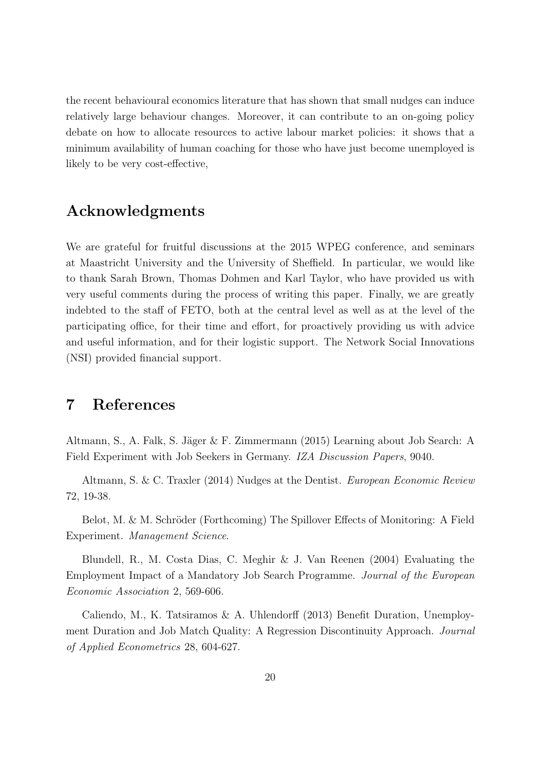the recent behavioural economics literature that has shown that small nudges can induce relatively large behaviour changes. Moreover, it can contribute to an on-going policy debate on how to allocate resources to active labour market policies: it shows that a minimum availability of human coaching for those who have just become unemployed is likely to be very cost-effective,

# **Acknowledgments**

We are grateful for fruitful discussions at the 2015 WPEG conference, and seminars at Maastricht University and the University of Sheffield. In particular, we would like to thank Sarah Brown, Thomas Dohmen and Karl Taylor, who have provided us with very useful comments during the process of writing this paper. Finally, we are greatly indebted to the staff of FETO, both at the central level as well as at the level of the participating office, for their time and effort, for proactively providing us with advice and useful information, and for their logistic support. The Network Social Innovations (NSI) provided financial support.

### **7 References**

Altmann, S., A. Falk, S. Jäger & F. Zimmermann  $(2015)$  Learning about Job Search: A Field Experiment with Job Seekers in Germany. *IZA Discussion Papers*, 9040.

Altmann, S. & C. Traxler (2014) Nudges at the Dentist. *European Economic Review* 72, 19-38.

Belot, M. & M. Schröder (Forthcoming) The Spillover Effects of Monitoring: A Field Experiment. *Management Science*.

Blundell, R., M. Costa Dias, C. Meghir & J. Van Reenen (2004) Evaluating the Employment Impact of a Mandatory Job Search Programme. *Journal of the European Economic Association* 2, 569-606.

Caliendo, M., K. Tatsiramos & A. Uhlendorff (2013) Benefit Duration, Unemployment Duration and Job Match Quality: A Regression Discontinuity Approach. *Journal of Applied Econometrics* 28, 604-627.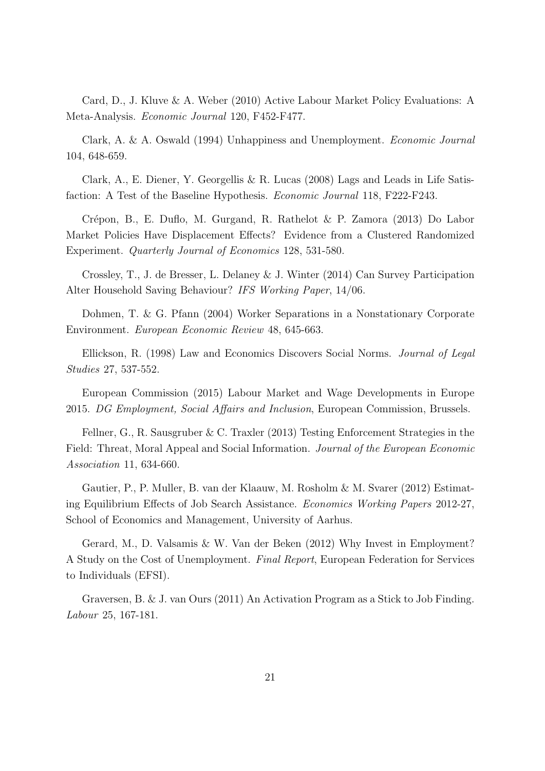Card, D., J. Kluve & A. Weber (2010) Active Labour Market Policy Evaluations: A Meta-Analysis. *Economic Journal* 120, F452-F477.

Clark, A. & A. Oswald (1994) Unhappiness and Unemployment. *Economic Journal* 104, 648-659.

Clark, A., E. Diener, Y. Georgellis & R. Lucas (2008) Lags and Leads in Life Satisfaction: A Test of the Baseline Hypothesis. *Economic Journal* 118, F222-F243.

Crépon, B., E. Duflo, M. Gurgand, R. Rathelot & P. Zamora (2013) Do Labor Market Policies Have Displacement Effects? Evidence from a Clustered Randomized Experiment. *Quarterly Journal of Economics* 128, 531-580.

Crossley, T., J. de Bresser, L. Delaney & J. Winter (2014) Can Survey Participation Alter Household Saving Behaviour? *IFS Working Paper*, 14/06.

Dohmen, T. & G. Pfann (2004) Worker Separations in a Nonstationary Corporate Environment. *European Economic Review* 48, 645-663.

Ellickson, R. (1998) Law and Economics Discovers Social Norms. *Journal of Legal Studies* 27, 537-552.

European Commission (2015) Labour Market and Wage Developments in Europe 2015. *DG Employment, Social Affairs and Inclusion*, European Commission, Brussels.

Fellner, G., R. Sausgruber & C. Traxler (2013) Testing Enforcement Strategies in the Field: Threat, Moral Appeal and Social Information. *Journal of the European Economic Association* 11, 634-660.

Gautier, P., P. Muller, B. van der Klaauw, M. Rosholm & M. Svarer (2012) Estimating Equilibrium Effects of Job Search Assistance. *Economics Working Papers* 2012-27, School of Economics and Management, University of Aarhus.

Gerard, M., D. Valsamis & W. Van der Beken (2012) Why Invest in Employment? A Study on the Cost of Unemployment. *Final Report*, European Federation for Services to Individuals (EFSI).

Graversen, B. & J. van Ours (2011) An Activation Program as a Stick to Job Finding. *Labour* 25, 167-181.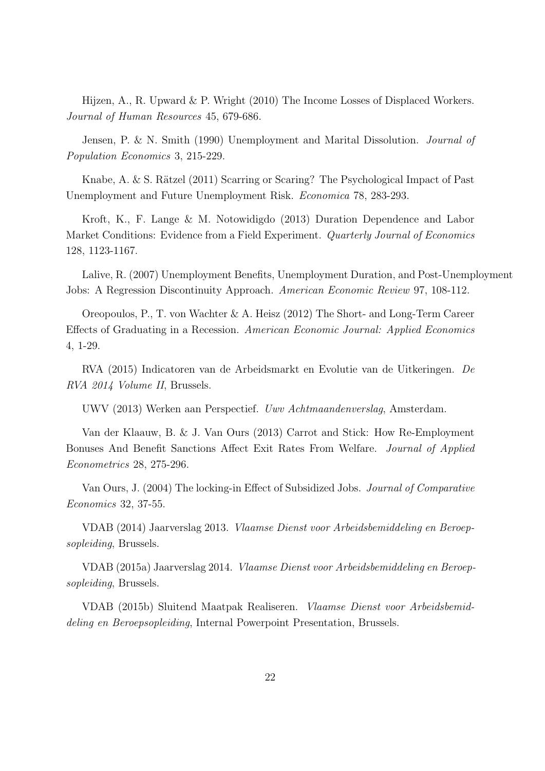Hijzen, A., R. Upward & P. Wright (2010) The Income Losses of Displaced Workers. *Journal of Human Resources* 45, 679-686.

Jensen, P. & N. Smith (1990) Unemployment and Marital Dissolution. *Journal of Population Economics* 3, 215-229.

Knabe, A. & S. Rätzel  $(2011)$  Scarring or Scaring? The Psychological Impact of Past Unemployment and Future Unemployment Risk. *Economica* 78, 283-293.

Kroft, K., F. Lange & M. Notowidigdo (2013) Duration Dependence and Labor Market Conditions: Evidence from a Field Experiment. *Quarterly Journal of Economics* 128, 1123-1167.

Lalive, R. (2007) Unemployment Benefits, Unemployment Duration, and Post-Unemployment Jobs: A Regression Discontinuity Approach. *American Economic Review* 97, 108-112.

Oreopoulos, P., T. von Wachter & A. Heisz (2012) The Short- and Long-Term Career Effects of Graduating in a Recession. *American Economic Journal: Applied Economics* 4, 1-29.

RVA (2015) Indicatoren van de Arbeidsmarkt en Evolutie van de Uitkeringen. *De RVA 2014 Volume II*, Brussels.

UWV (2013) Werken aan Perspectief. *Uwv Achtmaandenverslag*, Amsterdam.

Van der Klaauw, B. & J. Van Ours (2013) Carrot and Stick: How Re-Employment Bonuses And Benefit Sanctions Affect Exit Rates From Welfare. *Journal of Applied Econometrics* 28, 275-296.

Van Ours, J. (2004) The locking-in Effect of Subsidized Jobs. *Journal of Comparative Economics* 32, 37-55.

VDAB (2014) Jaarverslag 2013. *Vlaamse Dienst voor Arbeidsbemiddeling en Beroepsopleiding*, Brussels.

VDAB (2015a) Jaarverslag 2014. *Vlaamse Dienst voor Arbeidsbemiddeling en Beroepsopleiding*, Brussels.

VDAB (2015b) Sluitend Maatpak Realiseren. *Vlaamse Dienst voor Arbeidsbemiddeling en Beroepsopleiding*, Internal Powerpoint Presentation, Brussels.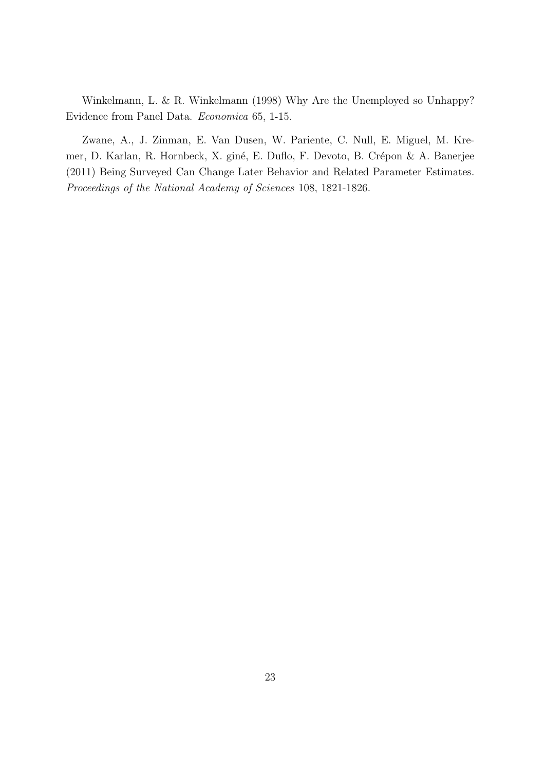Winkelmann, L. & R. Winkelmann (1998) Why Are the Unemployed so Unhappy? Evidence from Panel Data. *Economica* 65, 1-15.

Zwane, A., J. Zinman, E. Van Dusen, W. Pariente, C. Null, E. Miguel, M. Kremer, D. Karlan, R. Hornbeck, X. giné, E. Duflo, F. Devoto, B. Crépon & A. Banerjee (2011) Being Surveyed Can Change Later Behavior and Related Parameter Estimates. *Proceedings of the National Academy of Sciences* 108, 1821-1826.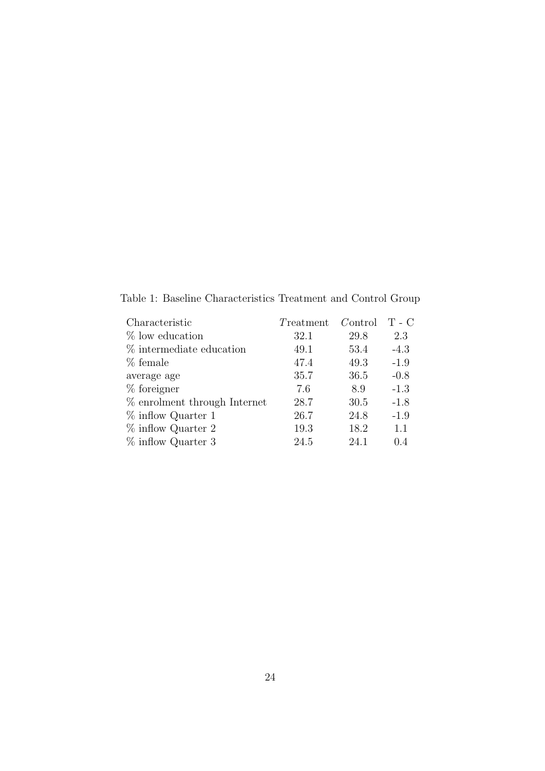Table 1: Baseline Characteristics Treatment and Control Group

| Characteristic                 | Treatment | Control | $T - C$ |
|--------------------------------|-----------|---------|---------|
| $%$ low education              | 32.1      | 29.8    | 2.3     |
| % intermediate education       | 49.1      | 53.4    | $-4.3$  |
| % female                       | 47.4      | 49.3    | $-1.9$  |
| average age                    | 35.7      | 36.5    | $-0.8$  |
| $%$ foreigner                  | 7.6       | 8.9     | $-1.3$  |
| $%$ enrolment through Internet | 28.7      | 30.5    | $-1.8$  |
| $\%$ inflow Quarter 1          | 26.7      | 24.8    | $-1.9$  |
| $\%$ inflow Quarter 2          | 19.3      | 18.2    | 1.1     |
| $\%$ inflow Quarter 3          | 24.5      | 24.1    | 0.4     |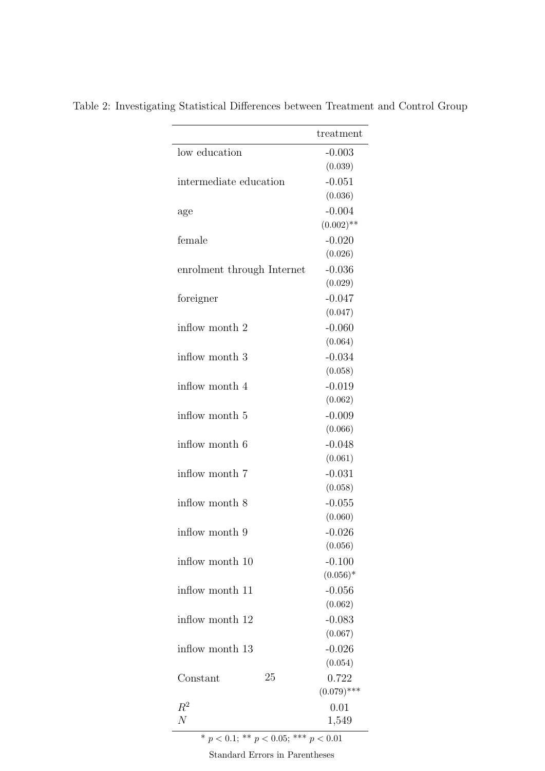| low education<br>$-0.003$<br>(0.039)<br>$-0.051$<br>intermediate education<br>(0.036)<br>$-0.004$<br>age<br>$(0.002)$ **<br>female<br>$-0.020$<br>(0.026)<br>$-0.036$<br>enrolment through Internet<br>(0.029)<br>$-0.047$<br>foreigner<br>(0.047)<br>$-0.060$<br>inflow month 2<br>(0.064)<br>$-0.034$<br>inflow month 3<br>(0.058)<br>$-0.019$<br>inflow month 4<br>(0.062)<br>$-0.009$<br>inflow month 5<br>(0.066)<br>$-0.048$<br>inflow month 6<br>(0.061)<br>$-0.031$<br>inflow month 7<br>(0.058)<br>$-0.055$<br>inflow month 8<br>(0.060)<br>inflow month 9<br>$-0.026$<br>(0.056)<br>$-0.100$<br>inflow month 10<br>$(0.056)^*$<br>$-0.056$<br>inflow month 11<br>(0.062)<br>$-0.083$<br>inflow month 12<br>(0.067)<br>$-0.026$<br>inflow month 13<br>(0.054)<br>25<br>0.722<br>Constant<br>$(0.079)$ ***<br>$\,R^2$<br>0.01<br>N<br>1,549 |  |           |
|-----------------------------------------------------------------------------------------------------------------------------------------------------------------------------------------------------------------------------------------------------------------------------------------------------------------------------------------------------------------------------------------------------------------------------------------------------------------------------------------------------------------------------------------------------------------------------------------------------------------------------------------------------------------------------------------------------------------------------------------------------------------------------------------------------------------------------------------------------|--|-----------|
|                                                                                                                                                                                                                                                                                                                                                                                                                                                                                                                                                                                                                                                                                                                                                                                                                                                     |  | treatment |
|                                                                                                                                                                                                                                                                                                                                                                                                                                                                                                                                                                                                                                                                                                                                                                                                                                                     |  |           |
|                                                                                                                                                                                                                                                                                                                                                                                                                                                                                                                                                                                                                                                                                                                                                                                                                                                     |  |           |
|                                                                                                                                                                                                                                                                                                                                                                                                                                                                                                                                                                                                                                                                                                                                                                                                                                                     |  |           |
|                                                                                                                                                                                                                                                                                                                                                                                                                                                                                                                                                                                                                                                                                                                                                                                                                                                     |  |           |
|                                                                                                                                                                                                                                                                                                                                                                                                                                                                                                                                                                                                                                                                                                                                                                                                                                                     |  |           |
|                                                                                                                                                                                                                                                                                                                                                                                                                                                                                                                                                                                                                                                                                                                                                                                                                                                     |  |           |
|                                                                                                                                                                                                                                                                                                                                                                                                                                                                                                                                                                                                                                                                                                                                                                                                                                                     |  |           |
|                                                                                                                                                                                                                                                                                                                                                                                                                                                                                                                                                                                                                                                                                                                                                                                                                                                     |  |           |
|                                                                                                                                                                                                                                                                                                                                                                                                                                                                                                                                                                                                                                                                                                                                                                                                                                                     |  |           |
|                                                                                                                                                                                                                                                                                                                                                                                                                                                                                                                                                                                                                                                                                                                                                                                                                                                     |  |           |
|                                                                                                                                                                                                                                                                                                                                                                                                                                                                                                                                                                                                                                                                                                                                                                                                                                                     |  |           |
|                                                                                                                                                                                                                                                                                                                                                                                                                                                                                                                                                                                                                                                                                                                                                                                                                                                     |  |           |
|                                                                                                                                                                                                                                                                                                                                                                                                                                                                                                                                                                                                                                                                                                                                                                                                                                                     |  |           |
|                                                                                                                                                                                                                                                                                                                                                                                                                                                                                                                                                                                                                                                                                                                                                                                                                                                     |  |           |
|                                                                                                                                                                                                                                                                                                                                                                                                                                                                                                                                                                                                                                                                                                                                                                                                                                                     |  |           |
|                                                                                                                                                                                                                                                                                                                                                                                                                                                                                                                                                                                                                                                                                                                                                                                                                                                     |  |           |
|                                                                                                                                                                                                                                                                                                                                                                                                                                                                                                                                                                                                                                                                                                                                                                                                                                                     |  |           |
|                                                                                                                                                                                                                                                                                                                                                                                                                                                                                                                                                                                                                                                                                                                                                                                                                                                     |  |           |
|                                                                                                                                                                                                                                                                                                                                                                                                                                                                                                                                                                                                                                                                                                                                                                                                                                                     |  |           |
|                                                                                                                                                                                                                                                                                                                                                                                                                                                                                                                                                                                                                                                                                                                                                                                                                                                     |  |           |
|                                                                                                                                                                                                                                                                                                                                                                                                                                                                                                                                                                                                                                                                                                                                                                                                                                                     |  |           |
|                                                                                                                                                                                                                                                                                                                                                                                                                                                                                                                                                                                                                                                                                                                                                                                                                                                     |  |           |
|                                                                                                                                                                                                                                                                                                                                                                                                                                                                                                                                                                                                                                                                                                                                                                                                                                                     |  |           |
|                                                                                                                                                                                                                                                                                                                                                                                                                                                                                                                                                                                                                                                                                                                                                                                                                                                     |  |           |
|                                                                                                                                                                                                                                                                                                                                                                                                                                                                                                                                                                                                                                                                                                                                                                                                                                                     |  |           |
|                                                                                                                                                                                                                                                                                                                                                                                                                                                                                                                                                                                                                                                                                                                                                                                                                                                     |  |           |
|                                                                                                                                                                                                                                                                                                                                                                                                                                                                                                                                                                                                                                                                                                                                                                                                                                                     |  |           |
|                                                                                                                                                                                                                                                                                                                                                                                                                                                                                                                                                                                                                                                                                                                                                                                                                                                     |  |           |
|                                                                                                                                                                                                                                                                                                                                                                                                                                                                                                                                                                                                                                                                                                                                                                                                                                                     |  |           |
|                                                                                                                                                                                                                                                                                                                                                                                                                                                                                                                                                                                                                                                                                                                                                                                                                                                     |  |           |
|                                                                                                                                                                                                                                                                                                                                                                                                                                                                                                                                                                                                                                                                                                                                                                                                                                                     |  |           |
|                                                                                                                                                                                                                                                                                                                                                                                                                                                                                                                                                                                                                                                                                                                                                                                                                                                     |  |           |
|                                                                                                                                                                                                                                                                                                                                                                                                                                                                                                                                                                                                                                                                                                                                                                                                                                                     |  |           |
|                                                                                                                                                                                                                                                                                                                                                                                                                                                                                                                                                                                                                                                                                                                                                                                                                                                     |  |           |
|                                                                                                                                                                                                                                                                                                                                                                                                                                                                                                                                                                                                                                                                                                                                                                                                                                                     |  |           |
|                                                                                                                                                                                                                                                                                                                                                                                                                                                                                                                                                                                                                                                                                                                                                                                                                                                     |  |           |
|                                                                                                                                                                                                                                                                                                                                                                                                                                                                                                                                                                                                                                                                                                                                                                                                                                                     |  |           |
|                                                                                                                                                                                                                                                                                                                                                                                                                                                                                                                                                                                                                                                                                                                                                                                                                                                     |  |           |
|                                                                                                                                                                                                                                                                                                                                                                                                                                                                                                                                                                                                                                                                                                                                                                                                                                                     |  |           |
|                                                                                                                                                                                                                                                                                                                                                                                                                                                                                                                                                                                                                                                                                                                                                                                                                                                     |  |           |

Table 2: Investigating Statistical Differences between Treatment and Control Group

 $\frac{1}{p}$  \* *p* < 0.1; \*\* *p* < 0.05; \*\*\* *p* < 0.01

Standard Errors in Parentheses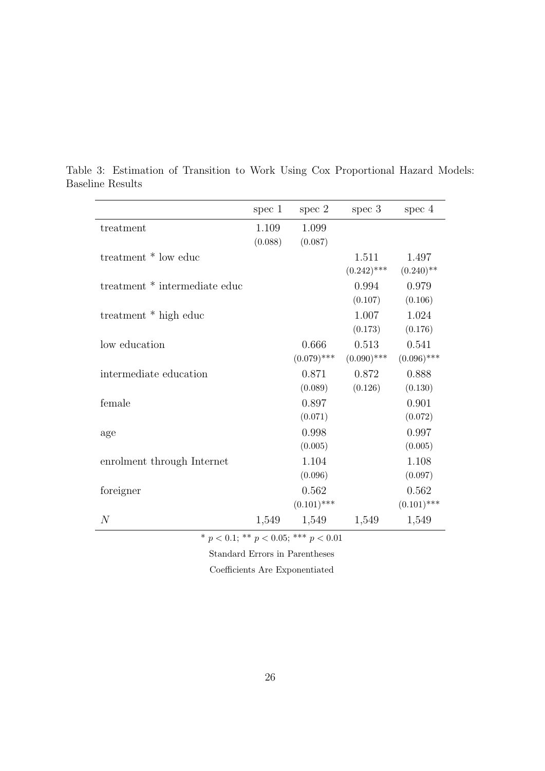|                               | spec $1$ | spec 2        | spec 3        | spec 4        |
|-------------------------------|----------|---------------|---------------|---------------|
| treatment                     | 1.109    | 1.099         |               |               |
|                               | (0.088)  | (0.087)       |               |               |
| treatment * low educ          |          |               | 1.511         | 1.497         |
|                               |          |               | $(0.242)$ *** | $(0.240)$ **  |
| treatment * intermediate educ |          |               | 0.994         | 0.979         |
|                               |          |               | (0.107)       | (0.106)       |
| treatment * high educ         |          |               | 1.007         | 1.024         |
|                               |          |               | (0.173)       | (0.176)       |
| low education                 |          | 0.666         | 0.513         | 0.541         |
|                               |          | $(0.079)$ *** | $(0.090)$ *** | $(0.096)$ *** |
| intermediate education        |          | 0.871         | 0.872         | 0.888         |
|                               |          | (0.089)       | (0.126)       | (0.130)       |
| female                        |          | 0.897         |               | 0.901         |
|                               |          | (0.071)       |               | (0.072)       |
| age                           |          | 0.998         |               | 0.997         |
|                               |          | (0.005)       |               | (0.005)       |
| enrolment through Internet    |          | 1.104         |               | 1.108         |
|                               |          | (0.096)       |               | (0.097)       |
| foreigner                     |          | 0.562         |               | 0.562         |
|                               |          | $(0.101)$ *** |               | $(0.101)$ *** |
| $\mathcal N$                  | 1,549    | 1,549         | 1,549         | 1,549         |

Table 3: Estimation of Transition to Work Using Cox Proportional Hazard Models: Baseline Results

 $^{\ast}$   $p$   $<$  0.1;  $^{\ast\ast}$   $p$   $<$  0.05;  $^{\ast\ast\ast}$   $p$   $<$  0.01

Standard Errors in Parentheses

Coefficients Are Exponentiated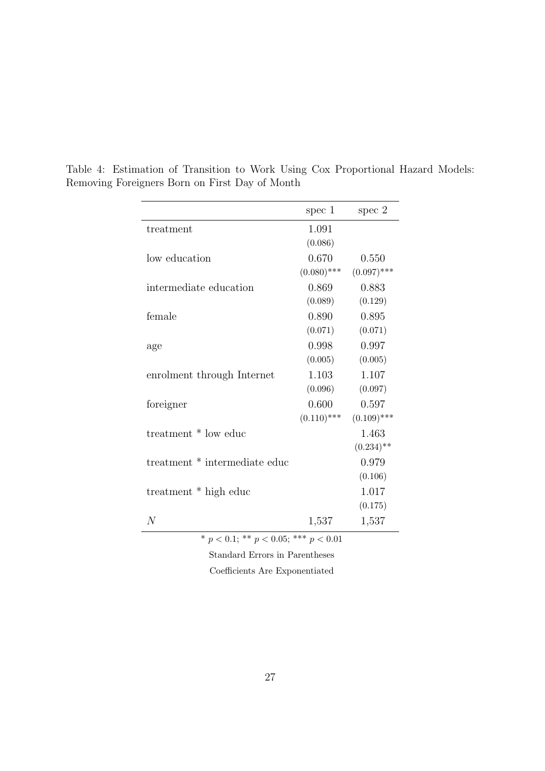|                                              | spec $1$      | spec $2$      |  |  |  |
|----------------------------------------------|---------------|---------------|--|--|--|
| treatment                                    | 1.091         |               |  |  |  |
|                                              | (0.086)       |               |  |  |  |
| low education                                | 0.670         | 0.550         |  |  |  |
|                                              | $(0.080)$ *** | $(0.097)$ *** |  |  |  |
| intermediate education                       | 0.869         | 0.883         |  |  |  |
|                                              | (0.089)       | (0.129)       |  |  |  |
| female                                       | 0.890         | 0.895         |  |  |  |
|                                              | (0.071)       | (0.071)       |  |  |  |
| age                                          | 0.998         | 0.997         |  |  |  |
|                                              | (0.005)       | (0.005)       |  |  |  |
| enrolment through Internet                   | 1.103         | 1.107         |  |  |  |
|                                              | (0.096)       | (0.097)       |  |  |  |
| foreigner                                    | 0.600         | 0.597         |  |  |  |
|                                              | $(0.110)$ *** | $(0.109)$ *** |  |  |  |
| treatment * low educ                         |               | 1.463         |  |  |  |
|                                              |               | $(0.234)$ **  |  |  |  |
| treatment * intermediate educ                |               | 0.979         |  |  |  |
|                                              |               | (0.106)       |  |  |  |
| treatment * high educ                        |               | 1.017         |  |  |  |
|                                              |               | (0.175)       |  |  |  |
| $\overline{N}$                               | 1,537         | 1,537         |  |  |  |
| $* n < 0.1$ , $** n < 0.05$ , $*** n < 0.01$ |               |               |  |  |  |

Table 4: Estimation of Transition to Work Using Cox Proportional Hazard Models: Removing Foreigners Born on First Day of Month

 $p < 0.1$ ; \*\*  $p < 0.05$ ; \*\*\*  $p < 0.01$ 

Standard Errors in Parentheses

Coefficients Are Exponentiated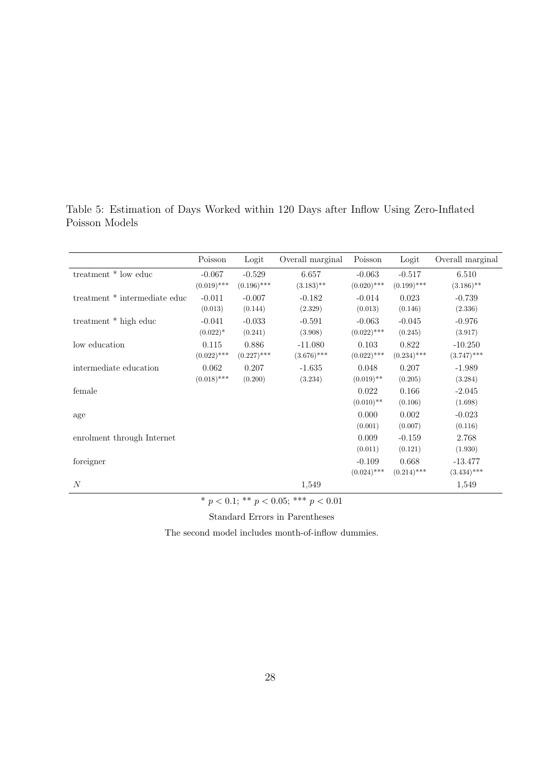|                                                                            | Poisson       | Logit         | Overall marginal | Poisson       | Logit         | Overall marginal |
|----------------------------------------------------------------------------|---------------|---------------|------------------|---------------|---------------|------------------|
| treatment * low educ                                                       | $-0.067$      | $-0.529$      | 6.657            | $-0.063$      | $-0.517$      | 6.510            |
|                                                                            | $(0.019)$ *** | $(0.196)$ *** | $(3.183)$ **     | $(0.020)$ *** | $(0.199)$ *** | $(3.186)$ **     |
| treatment * intermediate educ                                              | $-0.011$      | $-0.007$      | $-0.182$         | $-0.014$      | 0.023         | $-0.739$         |
|                                                                            | (0.013)       | (0.144)       | (2.329)          | (0.013)       | (0.146)       | (2.336)          |
| treatment * high educ                                                      | $-0.041$      | $-0.033$      | $-0.591$         | $-0.063$      | $-0.045$      | $-0.976$         |
|                                                                            | $(0.022)^*$   | (0.241)       | (3.908)          | $(0.022)$ *** | (0.245)       | (3.917)          |
| low education                                                              | 0.115         | 0.886         | $-11.080$        | 0.103         | 0.822         | $-10.250$        |
|                                                                            | $(0.022)$ *** | $(0.227)$ *** | $(3.676)$ ***    | $(0.022)$ *** | $(0.234)$ *** | $(3.747)$ ***    |
| intermediate education                                                     | 0.062         | 0.207         | $-1.635$         | 0.048         | 0.207         | $-1.989$         |
|                                                                            | $(0.018)$ *** | (0.200)       | (3.234)          | $(0.019)$ **  | (0.205)       | (3.284)          |
| female                                                                     |               |               |                  | 0.022         | 0.166         | $-2.045$         |
|                                                                            |               |               |                  | $(0.010)$ **  | (0.106)       | (1.698)          |
| age                                                                        |               |               |                  | 0.000         | 0.002         | $-0.023$         |
|                                                                            |               |               |                  | (0.001)       | (0.007)       | (0.116)          |
| enrolment through Internet                                                 |               |               |                  | 0.009         | $-0.159$      | 2.768            |
|                                                                            |               |               |                  | (0.011)       | (0.121)       | (1.930)          |
| foreigner                                                                  |               |               |                  | $-0.109$      | 0.668         | $-13.477$        |
|                                                                            |               |               |                  | $(0.024)$ *** | $(0.214)$ *** | $(3.434)$ ***    |
| N                                                                          |               |               | 1,549            |               |               | 1,549            |
| the contract of the state of<br>the company's contract of the state of the |               |               |                  |               |               |                  |

Table 5: Estimation of Days Worked within 120 Days after Inflow Using Zero-Inflated Poisson Models

\* *p <* 0.1; \*\* *p <* 0.05; \*\*\* *p <* 0.01

Standard Errors in Parentheses

The second model includes month-of-inflow dummies.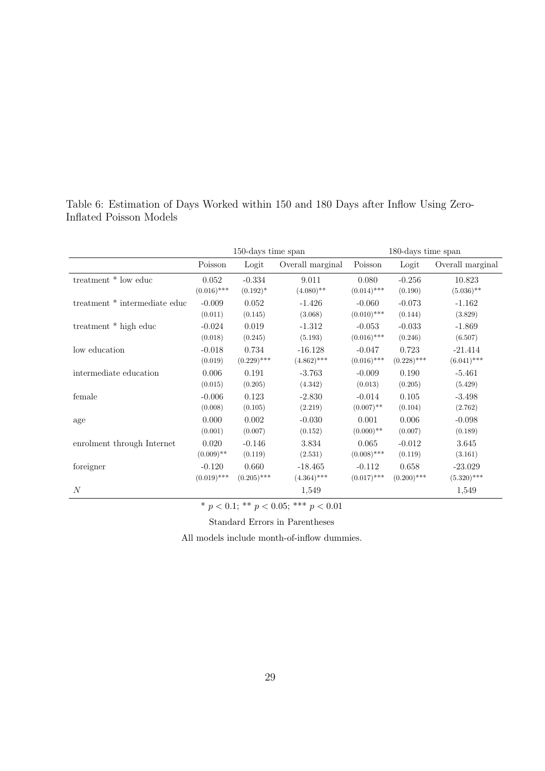|                               | 150-days time span |               | 180-days time span |               |               |                  |
|-------------------------------|--------------------|---------------|--------------------|---------------|---------------|------------------|
|                               | Poisson            | Logit         | Overall marginal   | Poisson       | Logit         | Overall marginal |
| treatment * low educ          | 0.052              | $-0.334$      | 9.011              | 0.080         | $-0.256$      | 10.823           |
|                               | $(0.016)$ ***      | $(0.192)^*$   | $(4.080)$ **       | $(0.014)$ *** | (0.190)       | $(5.036)$ **     |
| treatment * intermediate educ | $-0.009$           | 0.052         | $-1.426$           | $-0.060$      | $-0.073$      | $-1.162$         |
|                               | (0.011)            | (0.145)       | (3.068)            | $(0.010)$ *** | (0.144)       | (3.829)          |
| treatment * high educ         | $-0.024$           | 0.019         | $-1.312$           | $-0.053$      | $-0.033$      | $-1.869$         |
|                               | (0.018)            | (0.245)       | (5.193)            | $(0.016)$ *** | (0.246)       | (6.507)          |
| low education                 | $-0.018$           | 0.734         | $-16.128$          | $-0.047$      | 0.723         | $-21.414$        |
|                               | (0.019)            | $(0.229)$ *** | $(4.862)$ ***      | $(0.016)$ *** | $(0.228)$ *** | $(6.041)$ ***    |
| intermediate education        | 0.006              | 0.191         | $-3.763$           | $-0.009$      | 0.190         | $-5.461$         |
|                               | (0.015)            | (0.205)       | (4.342)            | (0.013)       | (0.205)       | (5.429)          |
| female                        | $-0.006$           | 0.123         | $-2.830$           | $-0.014$      | 0.105         | $-3.498$         |
|                               | (0.008)            | (0.105)       | (2.219)            | $(0.007)$ **  | (0.104)       | (2.762)          |
| age                           | 0.000              | 0.002         | $-0.030$           | 0.001         | 0.006         | $-0.098$         |
|                               | (0.001)            | (0.007)       | (0.152)            | $(0.000)$ **  | (0.007)       | (0.189)          |
| enrolment through Internet    | 0.020              | $-0.146$      | 3.834              | 0.065         | $-0.012$      | 3.645            |
|                               | $(0.009)$ **       | (0.119)       | (2.531)            | $(0.008)$ *** | (0.119)       | (3.161)          |
| foreigner                     | $-0.120$           | 0.660         | $-18.465$          | $-0.112$      | 0.658         | $-23.029$        |
|                               | $(0.019)$ ***      | $(0.205)$ *** | $(4.364)$ ***      | $(0.017)$ *** | $(0.200)$ *** | $(5.320)$ ***    |
| $\boldsymbol{N}$              |                    |               | 1,549              |               |               | 1,549            |

Table 6: Estimation of Days Worked within 150 and 180 Days after Inflow Using Zero-Inflated Poisson Models

\* *p <* 0.1; \*\* *p <* 0.05; \*\*\* *p <* 0.01

Standard Errors in Parentheses

All models include month-of-inflow dummies.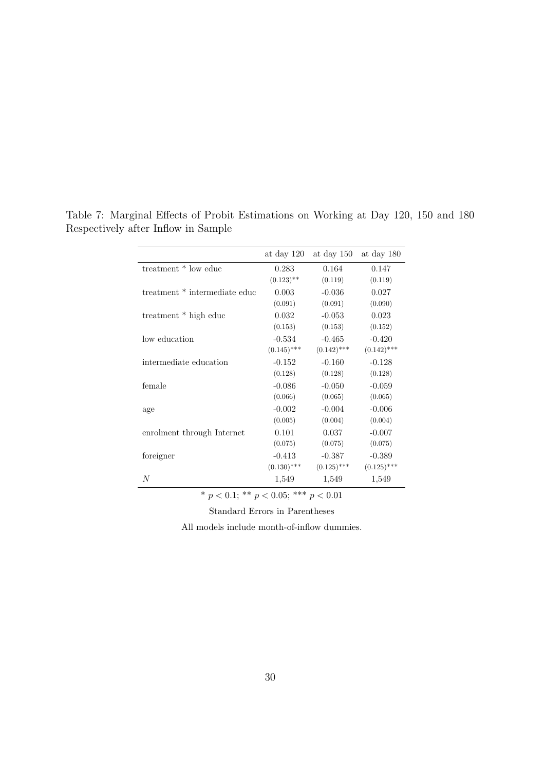|                               | at day 120    | at day 150    | at day 180    |
|-------------------------------|---------------|---------------|---------------|
| treatment * low educ          | 0.283         | 0.164         | 0.147         |
|                               | $(0.123)$ **  | (0.119)       | (0.119)       |
| treatment * intermediate educ | 0.003         | $-0.036$      | 0.027         |
|                               | (0.091)       | (0.091)       | (0.090)       |
| treatment * high educ         | 0.032         | $-0.053$      | 0.023         |
|                               | (0.153)       | (0.153)       | (0.152)       |
| low education                 | $-0.534$      | $-0.465$      | $-0.420$      |
|                               | $(0.145)$ *** | $(0.142)$ *** | $(0.142)$ *** |
| intermediate education        | $-0.152$      | $-0.160$      | $-0.128$      |
|                               | (0.128)       | (0.128)       | (0.128)       |
| female                        | $-0.086$      | $-0.050$      | $-0.059$      |
|                               | (0.066)       | (0.065)       | (0.065)       |
| age                           | $-0.002$      | $-0.004$      | $-0.006$      |
|                               | (0.005)       | (0.004)       | (0.004)       |
| enrolment through Internet    | 0.101         | 0.037         | $-0.007$      |
|                               | (0.075)       | (0.075)       | (0.075)       |
| foreigner                     | $-0.413$      | $-0.387$      | $-0.389$      |
|                               | $(0.130)$ *** | $(0.125)$ *** | $(0.125)$ *** |
| $\boldsymbol{N}$              | 1,549         | 1,549         | 1,549         |

Table 7: Marginal Effects of Probit Estimations on Working at Day 120, 150 and 180 Respectively after Inflow in Sample

 $* p < 0.1; ** p < 0.05; ** p < 0.01$ 

Standard Errors in Parentheses

All models include month-of-inflow dummies.